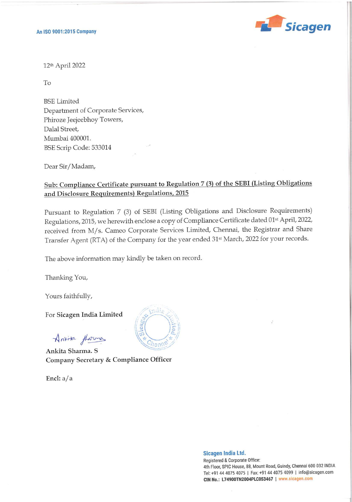

٠

ı

12th April 2022

To

BSE Limited Department of Corporate Services, Phiroze Jeejeebhoy Towers, Dalal Street, Mumbai 400001. BSE Scrip Code: 533014

Dear Sir/Madam,

## Sub: Compliance Certificate pursuant to Regulation 7 (3) of the SEBI (Listing Obligations and Disclosure Requirements) Regulations, 2015

Pursuant to Regulation 7 (3) of SEBI (Listing Obligations and Disclosure Requirements) Regulations, 2015, we herewith enclose a copy of Compliance Certificate dated 01st April, 2022, received from M/s. Cameo Corporate Services Limited, Chennai, the Registrar and Share Transfer Agent (RTA) of the Company for the year ended 31st March, 2022 for your records.

The above information may kindly be taken on record.

Thanking You,

Yours faithfully,

For Sicagen India Limited

Anrica fhorma

Ankita Sharma. S Company Secretary & Compliance Officer

Encl: a/a



Sicagen !ndia Ltd.

Registered & Corporate Office: 4th Floor, SPIC House, 88, Mount Road, Guindy, Chennai 600 032 INDIA Tel: +91 44 4075 4075 | Fax: +91 44 4075 4099 | info@sicagen.com CIN No.: L74900TN2004PLC053467 | www.sicagen.com